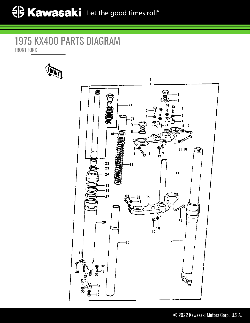## 1975 KX400 PARTS DIAGRAM FRONT FORK



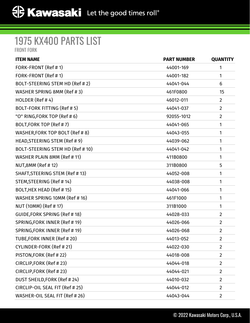## 1975 KX400 PARTS LIST

FRONT FORK

| <b>ITEM NAME</b>                 | <b>PART NUMBER</b> | <b>QUANTITY</b> |
|----------------------------------|--------------------|-----------------|
| FORK-FRONT (Ref #1)              | 44001-169          | 1               |
| FORK-FRONT (Ref #1)              | 44001-182          | 1               |
| BOLT-STEERING STEM HD (Ref # 2)  | 44041-044          | 6               |
| WASHER SPRING 8MM (Ref #3)       | 461F0800           | 15              |
| HOLDER (Ref #4)                  | 46012-011          | $\overline{2}$  |
| BOLT-FORK FITTING (Ref # 5)      | 44041-037          | $\overline{2}$  |
| "O" RING, FORK TOP (Ref # 6)     | 92055-1012         | $\overline{2}$  |
| BOLT, FORK TOP (Ref #7)          | 44041-065          | 1               |
| WASHER, FORK TOP BOLT (Ref # 8)  | 44043-055          | 1               |
| HEAD, STEERING STEM (Ref # 9)    | 44039-062          | 1               |
| BOLT-STEERING STEM HD (Ref # 10) | 44041-042          | 1               |
| WASHER PLAIN 8MM (Ref # 11)      | 411B0800           | 1               |
| NUT,8MM (Ref # 12)               | 311B0800           | 5               |
| SHAFT, STEERING STEM (Ref #13)   | 44052-008          | 1               |
| STEM, STEERING (Ref # 14)        | 44038-008          | 1               |
| BOLT, HEX HEAD (Ref # 15)        | 44041-066          | 1               |
| WASHER SPRING 10MM (Ref # 16)    | 461F1000           | 1               |
| NUT (10MM) (Ref # 17)            | 311B1000           | 1               |
| GUIDE, FORK SPRING (Ref #18)     | 44028-033          | $\overline{2}$  |
| SPRING, FORK INNER (Ref # 19)    | 44026-066          | $\overline{2}$  |
| SPRING, FORK INNER (Ref # 19)    | 44026-068          | $\overline{2}$  |
| TUBE, FORK INNER (Ref # 20)      | 44013-052          | $\overline{2}$  |
| CYLINDER-FORK (Ref # 21)         | 44022-030          | $\overline{2}$  |
| PISTON, FORK (Ref #22)           | 44018-008          | $\overline{2}$  |
| CIRCLIP, FORK (Ref # 23)         | 44044-018          | $\overline{2}$  |
| CIRCLIP, FORK (Ref #23)          | 44044-021          | $\overline{2}$  |
| DUST SHEILD, FORK (Ref # 24)     | 44010-032          | $\overline{2}$  |
| CIRCLIP-OIL SEAL FIT (Ref # 25)  | 44044-012          | $\overline{2}$  |
| WASHER-OIL SEAL FIT (Ref # 26)   | 44043-044          | $\overline{2}$  |